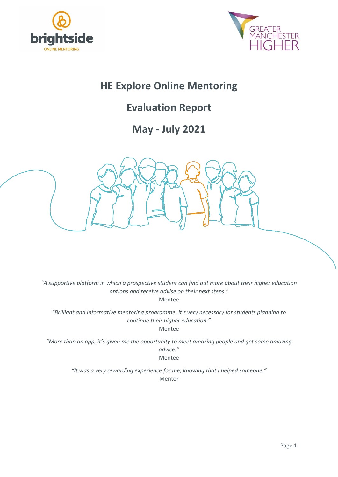



# **HE Explore Online Mentoring**

# **Evaluation Report**

# **May - July 2021**



*"A supportive platform in which a prospective student can find out more about their higher education options and receive advise on their next steps."* Mentee

*"Brilliant and informative mentoring programme. It's very necessary for students planning to continue their higher education."*

Mentee

*"More than an app, it's given me the opportunity to meet amazing people and get some amazing advice."* Mentee

> *"It was a very rewarding experience for me, knowing that I helped someone."* Mentor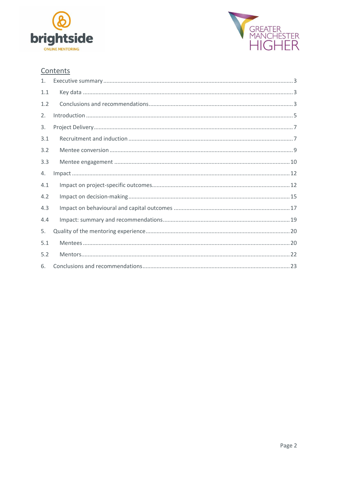



## Contents

| 1.  |  |
|-----|--|
| 1.1 |  |
| 1.2 |  |
| 2.  |  |
| 3.  |  |
| 3.1 |  |
| 3.2 |  |
| 3.3 |  |
| 4.  |  |
| 4.1 |  |
| 4.2 |  |
| 4.3 |  |
| 4.4 |  |
| 5.  |  |
| 5.1 |  |
| 5.2 |  |
| 6.  |  |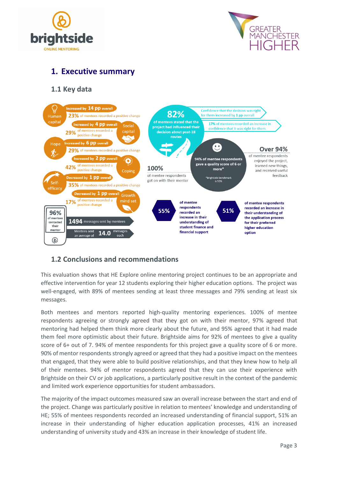



## <span id="page-2-0"></span>**1. Executive summary**

## <span id="page-2-1"></span>**1.1 Key data**



## <span id="page-2-2"></span>**1.2 Conclusions and recommendations**

This evaluation shows that HE Explore online mentoring project continues to be an appropriate and effective intervention for year 12 students exploring their higher education options. The project was well-engaged, with 89% of mentees sending at least three messages and 79% sending at least six messages.

Both mentees and mentors reported high-quality mentoring experiences. 100% of mentee respondents agreeing or strongly agreed that they got on with their mentor, 97% agreed that mentoring had helped them think more clearly about the future, and 95% agreed that it had made them feel more optimistic about their future. Brightside aims for 92% of mentees to give a quality score of 6+ out of 7. 94% of mentee respondents for this project gave a quality score of 6 or more. 90% of mentor respondents strongly agreed or agreed that they had a positive impact on the mentees that engaged, that they were able to build positive relationships, and that they knew how to help all of their mentees. 94% of mentor respondents agreed that they can use their experience with Brightside on their CV or job applications, a particularly positive result in the context of the pandemic and limited work experience opportunities for student ambassadors.

The majority of the impact outcomes measured saw an overall increase between the start and end of the project. Change was particularly positive in relation to mentees' knowledge and understanding of HE; 55% of mentees respondents recorded an increased understanding of financial support, 51% an increase in their understanding of higher education application processes, 41% an increased understanding of university study and 43% an increase in their knowledge of student life.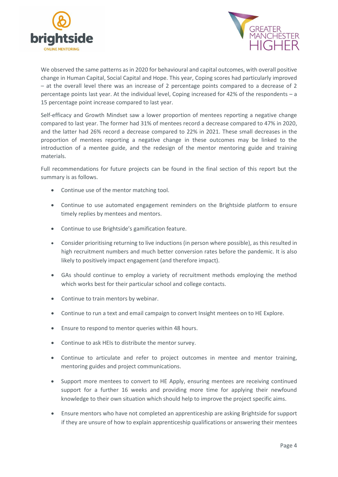



We observed the same patterns as in 2020 for behavioural and capital outcomes, with overall positive change in Human Capital, Social Capital and Hope. This year, Coping scores had particularly improved – at the overall level there was an increase of 2 percentage points compared to a decrease of 2 percentage points last year. At the individual level, Coping increased for 42% of the respondents – a 15 percentage point increase compared to last year.

Self-efficacy and Growth Mindset saw a lower proportion of mentees reporting a negative change compared to last year. The former had 31% of mentees record a decrease compared to 47% in 2020, and the latter had 26% record a decrease compared to 22% in 2021. These small decreases in the proportion of mentees reporting a negative change in these outcomes may be linked to the introduction of a mentee guide, and the redesign of the mentor mentoring guide and training materials.

Full recommendations for future projects can be found in the final section of this report but the summary is as follows.

- Continue use of the mentor matching tool.
- Continue to use automated engagement reminders on the Brightside platform to ensure timely replies by mentees and mentors.
- Continue to use Brightside's gamification feature.
- Consider prioritising returning to live inductions (in person where possible), as this resulted in high recruitment numbers and much better conversion rates before the pandemic. It is also likely to positively impact engagement (and therefore impact).
- GAs should continue to employ a variety of recruitment methods employing the method which works best for their particular school and college contacts.
- Continue to train mentors by webinar.
- Continue to run a text and email campaign to convert Insight mentees on to HE Explore.
- Ensure to respond to mentor queries within 48 hours.
- Continue to ask HEIs to distribute the mentor survey.
- Continue to articulate and refer to project outcomes in mentee and mentor training, mentoring guides and project communications.
- Support more mentees to convert to HE Apply, ensuring mentees are receiving continued support for a further 16 weeks and providing more time for applying their newfound knowledge to their own situation which should help to improve the project specific aims.
- Ensure mentors who have not completed an apprenticeship are asking Brightside for support if they are unsure of how to explain apprenticeship qualifications or answering their mentees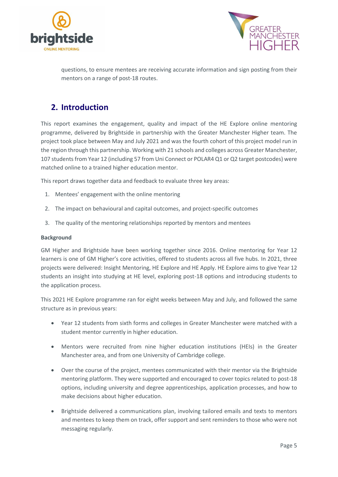



questions, to ensure mentees are receiving accurate information and sign posting from their mentors on a range of post-18 routes.

## <span id="page-4-0"></span>**2. Introduction**

This report examines the engagement, quality and impact of the HE Explore online mentoring programme, delivered by Brightside in partnership with the Greater Manchester Higher team. The project took place between May and July 2021 and was the fourth cohort of this project model run in the region through this partnership. Working with 21 schools and colleges across Greater Manchester, 107 students from Year 12 (including 57 from Uni Connect or POLAR4 Q1 or Q2 target postcodes) were matched online to a trained higher education mentor.

This report draws together data and feedback to evaluate three key areas:

- 1. Mentees' engagement with the online mentoring
- 2. The impact on behavioural and capital outcomes, and project-specific outcomes
- 3. The quality of the mentoring relationships reported by mentors and mentees

#### **Background**

GM Higher and Brightside have been working together since 2016. Online mentoring for Year 12 learners is one of GM Higher's core activities, offered to students across all five hubs. In 2021, three projects were delivered: Insight Mentoring, HE Explore and HE Apply. HE Explore aims to give Year 12 students an insight into studying at HE level, exploring post-18 options and introducing students to the application process.

This 2021 HE Explore programme ran for eight weeks between May and July, and followed the same structure as in previous years:

- Year 12 students from sixth forms and colleges in Greater Manchester were matched with a student mentor currently in higher education.
- Mentors were recruited from nine higher education institutions (HEIs) in the Greater Manchester area, and from one University of Cambridge college.
- Over the course of the project, mentees communicated with their mentor via the Brightside mentoring platform. They were supported and encouraged to cover topics related to post-18 options, including university and degree apprenticeships, application processes, and how to make decisions about higher education.
- Brightside delivered a communications plan, involving tailored emails and texts to mentors and mentees to keep them on track, offer support and sent reminders to those who were not messaging regularly.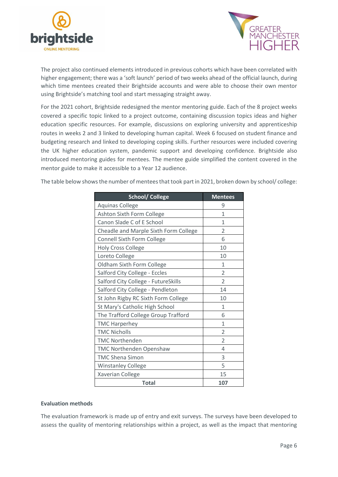



The project also continued elements introduced in previous cohorts which have been correlated with higher engagement; there was a 'soft launch' period of two weeks ahead of the official launch, during which time mentees created their Brightside accounts and were able to choose their own mentor using Brightside's matching tool and start messaging straight away.

For the 2021 cohort, Brightside redesigned the mentor mentoring guide. Each of the 8 project weeks covered a specific topic linked to a project outcome, containing discussion topics ideas and higher education specific resources. For example, discussions on exploring university and apprenticeship routes in weeks 2 and 3 linked to developing human capital. Week 6 focused on student finance and budgeting research and linked to developing coping skills. Further resources were included covering the UK higher education system, pandemic support and developing confidence. Brightside also introduced mentoring guides for mentees. The mentee guide simplified the content covered in the mentor guide to make it accessible to a Year 12 audience.

The table below shows the number of mentees that took part in 2021, broken down by school/ college:

| <b>School/ College</b>                | <b>Mentees</b>           |
|---------------------------------------|--------------------------|
| <b>Aquinas College</b>                | 9                        |
| Ashton Sixth Form College             | $\mathbf{1}$             |
| Canon Slade C of E School             | 1                        |
| Cheadle and Marple Sixth Form College | $\overline{\mathcal{L}}$ |
| <b>Connell Sixth Form College</b>     | 6                        |
| <b>Holy Cross College</b>             | 10                       |
| Loreto College                        | 10                       |
| Oldham Sixth Form College             | 1                        |
| Salford City College - Eccles         | $\overline{2}$           |
| Salford City College - FutureSkills   | 2                        |
| Salford City College - Pendleton      | 14                       |
| St John Rigby RC Sixth Form College   | 10                       |
| St Mary's Catholic High School        | $\mathbf{1}$             |
| The Trafford College Group Trafford   | 6                        |
| <b>TMC Harperhey</b>                  | 1                        |
| <b>TMC Nicholls</b>                   | $\overline{2}$           |
| <b>TMC Northenden</b>                 | $\overline{2}$           |
| <b>TMC Northenden Openshaw</b>        | 4                        |
| <b>TMC Shena Simon</b>                | 3                        |
| <b>Winstanley College</b>             | 5                        |
| Xaverian College                      | 15                       |
| <b>Total</b>                          | 107                      |

#### **Evaluation methods**

The evaluation framework is made up of entry and exit surveys. The surveys have been developed to assess the quality of mentoring relationships within a project, as well as the impact that mentoring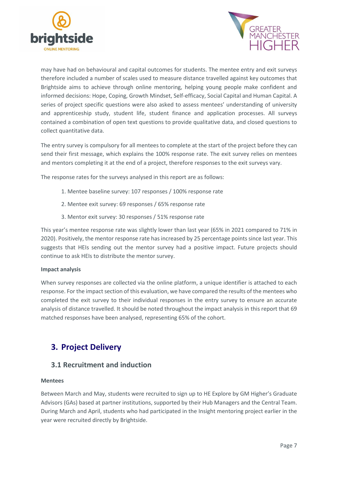



may have had on behavioural and capital outcomes for students. The mentee entry and exit surveys therefore included a number of scales used to measure distance travelled against key outcomes that Brightside aims to achieve through online mentoring, helping young people make confident and informed decisions: Hope, Coping, Growth Mindset, Self-efficacy, Social Capital and Human Capital. A series of project specific questions were also asked to assess mentees' understanding of university and apprenticeship study, student life, student finance and application processes. All surveys contained a combination of open text questions to provide qualitative data, and closed questions to collect quantitative data.

The entry survey is compulsory for all mentees to complete at the start of the project before they can send their first message, which explains the 100% response rate. The exit survey relies on mentees and mentors completing it at the end of a project, therefore responses to the exit surveys vary.

The response rates for the surveys analysed in this report are as follows:

- 1. Mentee baseline survey: 107 responses / 100% response rate
- 2. Mentee exit survey: 69 responses / 65% response rate
- 3. Mentor exit survey: 30 responses / 51% response rate

This year's mentee response rate was slightly lower than last year (65% in 2021 compared to 71% in 2020). Positively, the mentor response rate has increased by 25 percentage points since last year. This suggests that HEIs sending out the mentor survey had a positive impact. Future projects should continue to ask HEIs to distribute the mentor survey.

#### **Impact analysis**

When survey responses are collected via the online platform, a unique identifier is attached to each response. For the impact section of this evaluation, we have compared the results of the mentees who completed the exit survey to their individual responses in the entry survey to ensure an accurate analysis of distance travelled. It should be noted throughout the impact analysis in this report that 69 matched responses have been analysed, representing 65% of the cohort.

## <span id="page-6-0"></span>**3. Project Delivery**

### <span id="page-6-1"></span>**3.1 Recruitment and induction**

#### **Mentees**

Between March and May, students were recruited to sign up to HE Explore by GM Higher's Graduate Advisors (GAs) based at partner institutions, supported by their Hub Managers and the Central Team. During March and April, students who had participated in the Insight mentoring project earlier in the year were recruited directly by Brightside.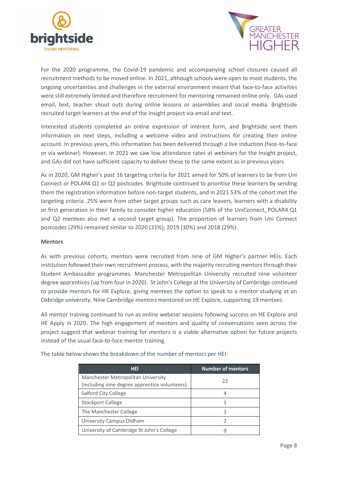



For the 2020 programme, the Covid-19 pandemic and accompanying school closures caused all recruitment methods to be moved online. In 2021, although schools were open to most students, the ongoing uncertainties and challenges in the external environment meant that face-to-face activities were still extremely limited and therefore recruitment for mentoring remained online only. GAs used email, text, teacher shout outs during online lessons or assemblies and social media. Brightside recruited target learners at the end of the Insight project via email and text.

Interested students completed an online expression of interest form, and Brightside sent them information on next steps, including a welcome video and instructions for creating their online account. In previous years, this information has been delivered through a live induction (face-to-face or via webinar). However, in 2021 we saw low attendance rates at webinars for the Insight project, and GAs did not have sufficient capacity to deliver these to the same extent as in previous years.

As in 2020, GM Higher's post 16 targeting criteria for 2021 aimed for 50% of learners to be from Uni Connect or POLAR4 Q1 or Q2 postcodes. Brightside continued to prioritise these learners by sending them the registration information before non-target students, and in 2021 53% of the cohort met the targeting criteria. 25% were from other target groups such as care leavers, learners with a disability or first generation in their family to consider higher education (58% of the UniConnect, POLAR4 Q1 and Q2 mentees also met a second target group). The proportion of learners from Uni Connect postcodes (29%) remained similar to 2020 (31%), 2019 (30%) and 2018 (29%).

#### **Mentors**

As with previous cohorts, mentors were recruited from nine of GM Higher's partner HEIs. Each institution followed their own recruitment process, with the majority recruiting mentors through their Student Ambassador programmes. Manchester Metropolitan University recruited nine volunteer degree apprentices(up from four in 2020). St John's College at the University of Cambridge continued to provide mentors for HE Explore, giving mentees the option to speak to a mentor studying at an Oxbridge university. Nine Cambridge mentors mentored on HE Explore, supporting 19 mentees.

All mentor training continued to run as online webinar sessions following success on HE Explore and HE Apply in 2020. The high engagement of mentors and quality of conversations seen across the project suggest that webinar training for mentors is a viable alternative option for future projects instead of the usual face-to-face mentor training.

| <b>HEI</b>                                    | <b>Number of mentors</b> |
|-----------------------------------------------|--------------------------|
| Manchester Metropolitan University            | 22                       |
| (including nine degree apprentice volunteers) |                          |
| Salford City College                          |                          |
| <b>Stockport College</b>                      |                          |
| The Manchester College                        |                          |
| University Campus Oldham                      |                          |
| University of Cambridge St John's College     |                          |

The table below shows the breakdown of the number of mentors per HEI: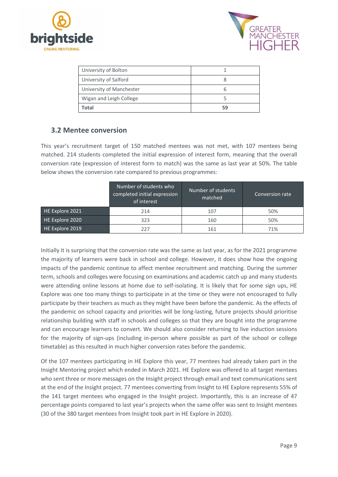



| University of Bolton     |    |
|--------------------------|----|
| University of Salford    |    |
| University of Manchester |    |
| Wigan and Leigh College  |    |
| Total                    | 59 |

## <span id="page-8-0"></span>**3.2 Mentee conversion**

This year's recruitment target of 150 matched mentees was not met, with 107 mentees being matched. 214 students completed the initial expression of interest form, meaning that the overall conversion rate (expression of interest form to match) was the same as last year at 50%. The table below shows the conversion rate compared to previous programmes:

| Number of students who<br>completed initial expression<br>of interest |     | Number of students<br>matched | Conversion rate |  |
|-----------------------------------------------------------------------|-----|-------------------------------|-----------------|--|
| HE Explore 2021                                                       | 214 | 107                           | 50%             |  |
| HE Explore 2020                                                       | 323 | 160                           | 50%             |  |
| HE Explore 2019                                                       | 227 | 161                           | 71%             |  |

Initially it is surprising that the conversion rate was the same as last year, as for the 2021 programme the majority of learners were back in school and college. However, it does show how the ongoing impacts of the pandemic continue to affect mentee recruitment and matching. During the summer term, schools and colleges were focusing on examinations and academic catch up and many students were attending online lessons at home due to self-isolating. It is likely that for some sign ups, HE Explore was one too many things to participate in at the time or they were not encouraged to fully participate by their teachers as much as they might have been before the pandemic. As the effects of the pandemic on school capacity and priorities will be long-lasting, future projects should prioritise relationship building with staff in schools and colleges so that they are bought into the programme and can encourage learners to convert. We should also consider returning to live induction sessions for the majority of sign-ups (including in-person where possible as part of the school or college timetable) as this resulted in much higher conversion rates before the pandemic.

Of the 107 mentees participating in HE Explore this year, 77 mentees had already taken part in the Insight Mentoring project which ended in March 2021. HE Explore was offered to all target mentees who sent three or more messages on the Insight project through email and text communications sent at the end of the Insight project. 77 mentees converting from Insight to HE Explore represents 55% of the 141 target mentees who engaged in the Insight project. Importantly, this is an increase of 47 percentage points compared to last year's projects when the same offer was sent to Insight mentees (30 of the 380 target mentees from Insight took part in HE Explore in 2020).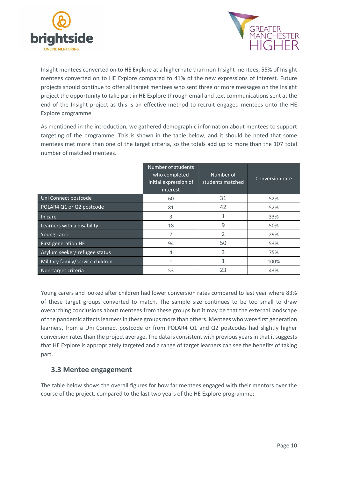



Insight mentees converted on to HE Explore at a higher rate than non-Insight mentees; 55% of Insight mentees converted on to HE Explore compared to 41% of the new expressions of interest. Future projects should continue to offer all target mentees who sent three or more messages on the Insight project the opportunity to take part in HE Explore through email and text communications sent at the end of the Insight project as this is an effective method to recruit engaged mentees onto the HE Explore programme.

As mentioned in the introduction, we gathered demographic information about mentees to support targeting of the programme. This is shown in the table below, and it should be noted that some mentees met more than one of the target criteria, so the totals add up to more than the 107 total number of matched mentees.

|                                  | <b>Number of students</b><br>who completed<br>initial expression of<br>interest | Number of<br>students matched | Conversion rate |
|----------------------------------|---------------------------------------------------------------------------------|-------------------------------|-----------------|
| Uni Connect postcode             | 60                                                                              | 31                            | 52%             |
| POLAR4 Q1 or Q2 postcode         | 81                                                                              | 42                            | 52%             |
| In care                          | 3                                                                               | $\mathbf{1}$                  | 33%             |
| Learners with a disability       | 18                                                                              | 9                             | 50%             |
| Young carer                      | 7                                                                               | $\overline{\phantom{a}}$      | 29%             |
| First generation HE              | 94                                                                              | 50                            | 53%             |
| Asylum seeker/refugee status     | 4                                                                               | 3                             | 75%             |
| Military family/service children | 1                                                                               | $\mathbf{1}$                  | 100%            |
| Non-target criteria              | 53                                                                              | 23                            | 43%             |

Young carers and looked after children had lower conversion rates compared to last year where 83% of these target groups converted to match. The sample size continues to be too small to draw overarching conclusions about mentees from these groups but it may be that the external landscape of the pandemic affects learners in these groups more than others. Mentees who were first generation learners, from a Uni Connect postcode or from POLAR4 Q1 and Q2 postcodes had slightly higher conversion rates than the project average. The data is consistent with previous years in that it suggests that HE Explore is appropriately targeted and a range of target learners can see the benefits of taking part.

### <span id="page-9-0"></span>**3.3 Mentee engagement**

The table below shows the overall figures for how far mentees engaged with their mentors over the course of the project, compared to the last two years of the HE Explore programme: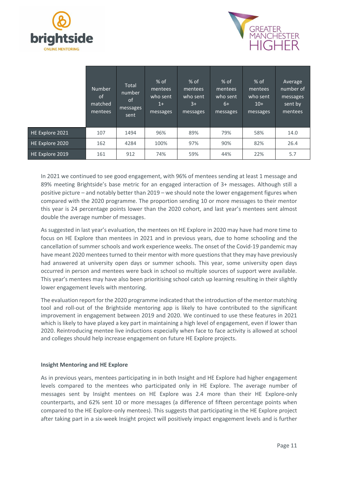



|                 | <b>Number</b><br>0f<br>matched<br>mentees | Total<br>number<br>of<br>messages<br>sent | $%$ of<br>mentees<br>who sent<br>$1+$<br>messages | $%$ of<br>mentees<br>who sent<br>$3+$<br>messages | $%$ of<br>mentees<br>who sent<br>$6+$<br>messages | $%$ of<br>mentees<br>who sent<br>$10+$<br>messages | Average<br>number of<br>messages<br>sent by<br>mentees |
|-----------------|-------------------------------------------|-------------------------------------------|---------------------------------------------------|---------------------------------------------------|---------------------------------------------------|----------------------------------------------------|--------------------------------------------------------|
| HE Explore 2021 | 107                                       | 1494                                      | 96%                                               | 89%                                               | 79%                                               | 58%                                                | 14.0                                                   |
| HE Explore 2020 | 162                                       | 4284                                      | 100%                                              | 97%                                               | 90%                                               | 82%                                                | 26.4                                                   |
| HE Explore 2019 | 161                                       | 912                                       | 74%                                               | 59%                                               | 44%                                               | 22%                                                | 5.7                                                    |

In 2021 we continued to see good engagement, with 96% of mentees sending at least 1 message and 89% meeting Brightside's base metric for an engaged interaction of 3+ messages. Although still a positive picture – and notably better than 2019 – we should note the lower engagement figures when compared with the 2020 programme. The proportion sending 10 or more messages to their mentor this year is 24 percentage points lower than the 2020 cohort, and last year's mentees sent almost double the average number of messages.

As suggested in last year's evaluation, the mentees on HE Explore in 2020 may have had more time to focus on HE Explore than mentees in 2021 and in previous years, due to home schooling and the cancellation of summer schools and work experience weeks. The onset of the Covid-19 pandemic may have meant 2020 mentees turned to their mentor with more questions that they may have previously had answered at university open days or summer schools. This year, some university open days occurred in person and mentees were back in school so multiple sources of support were available. This year's mentees may have also been prioritising school catch up learning resulting in their slightly lower engagement levels with mentoring.

The evaluation report for the 2020 programme indicated that the introduction of the mentor matching tool and roll-out of the Brightside mentoring app is likely to have contributed to the significant improvement in engagement between 2019 and 2020. We continued to use these features in 2021 which is likely to have played a key part in maintaining a high level of engagement, even if lower than 2020. Reintroducing mentee live inductions especially when face to face activity is allowed at school and colleges should help increase engagement on future HE Explore projects.

#### **Insight Mentoring and HE Explore**

As in previous years, mentees participating in in both Insight and HE Explore had higher engagement levels compared to the mentees who participated only in HE Explore. The average number of messages sent by Insight mentees on HE Explore was 2.4 more than their HE Explore-only counterparts, and 62% sent 10 or more messages (a difference of fifteen percentage points when compared to the HE Explore-only mentees). This suggests that participating in the HE Explore project after taking part in a six-week Insight project will positively impact engagement levels and is further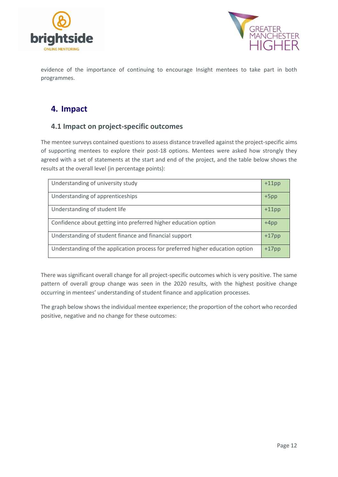



evidence of the importance of continuing to encourage Insight mentees to take part in both programmes.

## <span id="page-11-0"></span>**4. Impact**

## <span id="page-11-1"></span>**4.1 Impact on project-specific outcomes**

The mentee surveys contained questions to assess distance travelled against the project-specific aims of supporting mentees to explore their post-18 options. Mentees were asked how strongly they agreed with a set of statements at the start and end of the project, and the table below shows the results at the overall level (in percentage points):

| Understanding of university study                                              | $+11$ pp |
|--------------------------------------------------------------------------------|----------|
| Understanding of apprenticeships                                               | $+5$ pp  |
| Understanding of student life                                                  | $+11$ pp |
| Confidence about getting into preferred higher education option                | +4pp     |
| Understanding of student finance and financial support                         | $+17$ pp |
| Understanding of the application process for preferred higher education option | $+17$ pp |

There was significant overall change for all project-specific outcomes which is very positive. The same pattern of overall group change was seen in the 2020 results, with the highest positive change occurring in mentees' understanding of student finance and application processes.

The graph below shows the individual mentee experience; the proportion of the cohort who recorded positive, negative and no change for these outcomes: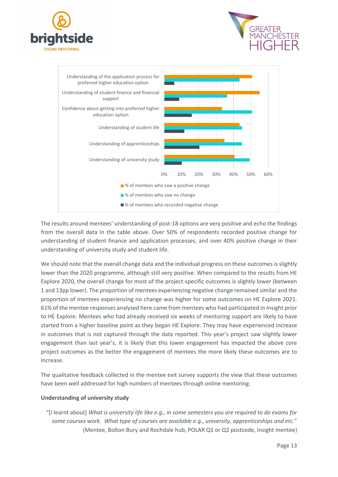





The results around mentees' understanding of post-18 options are very positive and echo the findings from the overall data in the table above. Over 50% of respondents recorded positive change for understanding of student finance and application processes, and over 40% positive change in their understanding of university study and student life.

We should note that the overall change data and the individual progress on these outcomes is slightly lower than the 2020 programme, although still very positive. When compared to the results from HE Explore 2020, the overall change for most of the project-specific outcomes is slightly lower (between 1 and 13pp lower). The proportion of mentees experiencing negative change remained similar and the proportion of mentees experiencing no change was higher for some outcomes on HE Explore 2021. 61% of the mentee responses analysed here came from mentees who had participated in Insight prior to HE Explore. Mentees who had already received six weeks of mentoring support are likely to have started from a higher baseline point as they began HE Explore. They may have experienced increase in outcomes that is not captured through the data reported. This year's project saw slightly lower engagement than last year's, it is likely that this lower engagement has impacted the above core project outcomes as the better the engagement of mentees the more likely these outcomes are to increase.

The qualitative feedback collected in the mentee exit survey supports the view that these outcomes have been well addressed for high numbers of mentees through online mentoring:

#### **Understanding of university study**

"[I learnt about] *What is university life like e.g., in some semesters you are required to do exams for some courses work. What type of courses are available e.g., university, apprenticeships and etc*." (Mentee, Bolton Bury and Rochdale hub, POLAR Q1 or Q2 postcode, Insight mentee)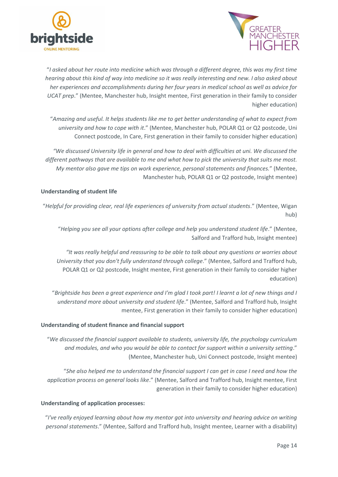



"*I asked about her route into medicine which was through a different degree, this was my first time hearing about this kind of way into medicine so it was really interesting and new. I also asked about her experiences and accomplishments during her four years in medical school as well as advice for UCAT prep*." (Mentee, Manchester hub, Insight mentee, First generation in their family to consider higher education)

"*Amazing and useful. It helps students like me to get better understanding of what to expect from university and how to cope with it*." (Mentee, Manchester hub, POLAR Q1 or Q2 postcode, Uni Connect postcode, In Care, First generation in their family to consider higher education)

*"We discussed University life in general and how to deal with difficulties at uni. We discussed the different pathways that are available to me and what how to pick the university that suits me most. My mentor also gave me tips on work experience, personal statements and finances.*" (Mentee, Manchester hub, POLAR Q1 or Q2 postcode, Insight mentee)

#### **Understanding of student life**

"*Helpful for providing clear, real life experiences of university from actual students*." (Mentee, Wigan hub)

"*Helping you see all your options after college and help you understand student life*." (Mentee, Salford and Trafford hub, Insight mentee)

*"It was really helpful and reassuring to be able to talk about any questions or worries about University that you don't fully understand through college*." (Mentee, Salford and Trafford hub, POLAR Q1 or Q2 postcode, Insight mentee, First generation in their family to consider higher education)

"*Brightside has been a great experience and I'm glad I took part! I learnt a lot of new things and I understand more about university and student life*." (Mentee, Salford and Trafford hub, Insight mentee, First generation in their family to consider higher education)

#### **Understanding of student finance and financial support**

"*We discussed the financial support available to students, university life, the psychology curriculum and modules, and who you would be able to contact for support within a university setting*." (Mentee, Manchester hub, Uni Connect postcode, Insight mentee)

"*She also helped me to understand the financial support I can get in case I need and how the application process on general looks like*." (Mentee, Salford and Trafford hub, Insight mentee, First generation in their family to consider higher education)

#### **Understanding of application processes:**

"*I've really enjoyed learning about how my mentor got into university and hearing advice on writing personal statements*." (Mentee, Salford and Trafford hub, Insight mentee, Learner with a disability)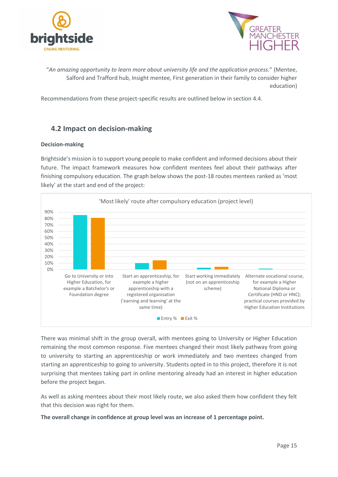



"*An amazing opportunity to learn more about university life and the application process*." (Mentee, Salford and Trafford hub, Insight mentee, First generation in their family to consider higher education)

Recommendations from these project-specific results are outlined below in section 4.4.

## <span id="page-14-0"></span>**4.2 Impact on decision-making**

#### **Decision-making**

Brightside's mission is to support young people to make confident and informed decisions about their future. The impact framework measures how confident mentees feel about their pathways after finishing compulsory education. The graph below shows the post-18 routes mentees ranked as 'most likely' at the start and end of the project:



There was minimal shift in the group overall, with mentees going to University or Higher Education remaining the most common response. Five mentees changed their most likely pathway from going to university to starting an apprenticeship or work immediately and two mentees changed from starting an apprenticeship to going to university. Students opted in to this project, therefore it is not surprising that mentees taking part in online mentoring already had an interest in higher education before the project began.

As well as asking mentees about their most likely route, we also asked them how confident they felt that this decision was right for them.

**The overall change in confidence at group level was an increase of 1 percentage point.**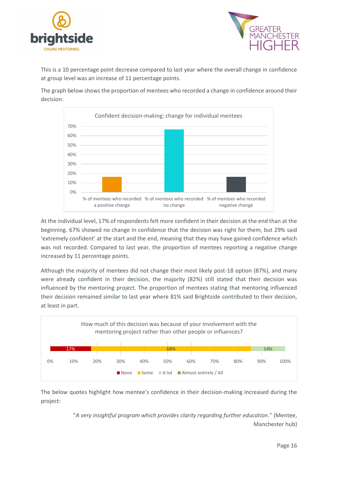



This is a 10 percentage point decrease compared to last year where the overall change in confidence at group level was an increase of 11 percentage points.

The graph below shows the proportion of mentees who recorded a change in confidence around their decision:



At the individual level, 17% of respondents felt more confident in their decision at the end than at the beginning. 67% showed no change in confidence that the decision was right for them, but 29% said 'extremely confident' at the start and the end, meaning that they may have gained confidence which was not recorded. Compared to last year, the proportion of mentees reporting a negative change increased by 11 percentage points.

Although the majority of mentees did not change their most likely post-18 option (87%), and many were already confident in their decision, the majority (82%) still stated that their decision was influenced by the mentoring project. The proportion of mentees stating that mentoring influenced their decision remained similar to last year where 81% said Brightside contributed to their decision, at least in part.



The below quotes highlight how mentee's confidence in their decision-making increased during the project:

> "*A very insightful program which provides clarity regarding further education*." (Mentee, Manchester hub)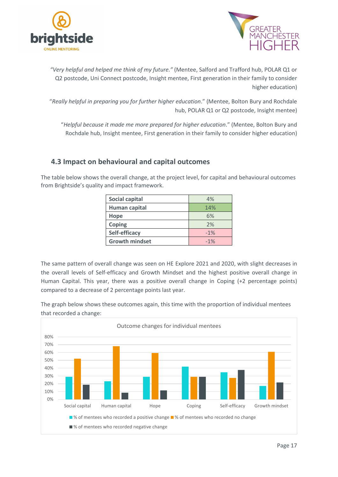



*"Very helpful and helped me think of my future."* (Mentee, Salford and Trafford hub, POLAR Q1 or Q2 postcode, Uni Connect postcode, Insight mentee, First generation in their family to consider higher education)

"*Really helpful in preparing you for further higher education*." (Mentee, Bolton Bury and Rochdale hub, POLAR Q1 or Q2 postcode, Insight mentee)

"*Helpful because it made me more prepared for higher education*." (Mentee, Bolton Bury and Rochdale hub, Insight mentee, First generation in their family to consider higher education)

## <span id="page-16-0"></span>**4.3 Impact on behavioural and capital outcomes**

The table below shows the overall change, at the project level, for capital and behavioural outcomes from Brightside's quality and impact framework.

| Social capital        | 4%    |
|-----------------------|-------|
| Human capital         | 14%   |
| Hope                  | 6%    |
| Coping                | 2%    |
| Self-efficacy         | $-1%$ |
| <b>Growth mindset</b> | $-1%$ |

The same pattern of overall change was seen on HE Explore 2021 and 2020, with slight decreases in the overall levels of Self-efficacy and Growth Mindset and the highest positive overall change in Human Capital. This year, there was a positive overall change in Coping (+2 percentage points) compared to a decrease of 2 percentage points last year.

The graph below shows these outcomes again, this time with the proportion of individual mentees that recorded a change:

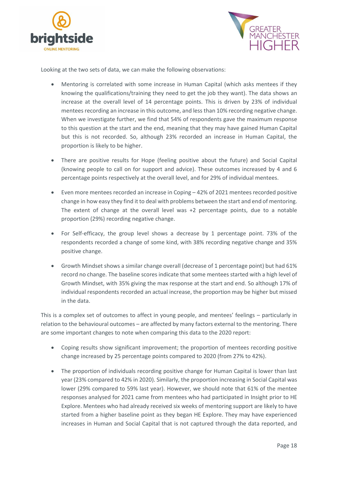



Looking at the two sets of data, we can make the following observations:

- Mentoring is correlated with some increase in Human Capital (which asks mentees if they knowing the qualifications/training they need to get the job they want). The data shows an increase at the overall level of 14 percentage points. This is driven by 23% of individual mentees recording an increase in this outcome, and less than 10% recording negative change. When we investigate further, we find that 54% of respondents gave the maximum response to this question at the start and the end, meaning that they may have gained Human Capital but this is not recorded. So, although 23% recorded an increase in Human Capital, the proportion is likely to be higher.
- There are positive results for Hope (feeling positive about the future) and Social Capital (knowing people to call on for support and advice). These outcomes increased by 4 and 6 percentage points respectively at the overall level, and for 29% of individual mentees.
- Even more mentees recorded an increase in Coping 42% of 2021 mentees recorded positive change in how easy they find it to deal with problems between the start and end of mentoring. The extent of change at the overall level was +2 percentage points, due to a notable proportion (29%) recording negative change.
- For Self-efficacy, the group level shows a decrease by 1 percentage point. 73% of the respondents recorded a change of some kind, with 38% recording negative change and 35% positive change.
- Growth Mindset shows a similar change overall (decrease of 1 percentage point) but had 61% record no change. The baseline scores indicate that some mentees started with a high level of Growth Mindset, with 35% giving the max response at the start and end. So although 17% of individual respondents recorded an actual increase, the proportion may be higher but missed in the data.

This is a complex set of outcomes to affect in young people, and mentees' feelings – particularly in relation to the behavioural outcomes – are affected by many factors external to the mentoring. There are some important changes to note when comparing this data to the 2020 report:

- Coping results show significant improvement; the proportion of mentees recording positive change increased by 25 percentage points compared to 2020 (from 27% to 42%).
- The proportion of individuals recording positive change for Human Capital is lower than last year (23% compared to 42% in 2020). Similarly, the proportion increasing in Social Capital was lower (29% compared to 59% last year). However, we should note that 61% of the mentee responses analysed for 2021 came from mentees who had participated in Insight prior to HE Explore. Mentees who had already received six weeks of mentoring support are likely to have started from a higher baseline point as they began HE Explore. They may have experienced increases in Human and Social Capital that is not captured through the data reported, and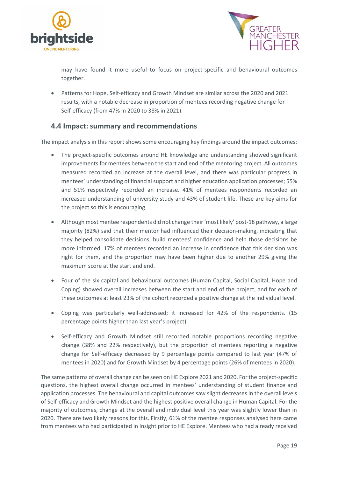



may have found it more useful to focus on project-specific and behavioural outcomes together.

• Patterns for Hope, Self-efficacy and Growth Mindset are similar across the 2020 and 2021 results, with a notable decrease in proportion of mentees recording negative change for Self-efficacy (from 47% in 2020 to 38% in 2021).

### <span id="page-18-0"></span>**4.4 Impact: summary and recommendations**

The impact analysis in this report shows some encouraging key findings around the impact outcomes:

- The project-specific outcomes around HE knowledge and understanding showed significant improvements for mentees between the start and end of the mentoring project. All outcomes measured recorded an increase at the overall level, and there was particular progress in mentees' understanding of financial support and higher education application processes; 55% and 51% respectively recorded an increase. 41% of mentees respondents recorded an increased understanding of university study and 43% of student life. These are key aims for the project so this is encouraging.
- Although most mentee respondents did not change their 'most likely' post-18 pathway, a large majority (82%) said that their mentor had influenced their decision-making, indicating that they helped consolidate decisions, build mentees' confidence and help those decisions be more informed. 17% of mentees recorded an increase in confidence that this decision was right for them, and the proportion may have been higher due to another 29% giving the maximum score at the start and end.
- Four of the six capital and behavioural outcomes (Human Capital, Social Capital, Hope and Coping) showed overall increases between the start and end of the project, and for each of these outcomes at least 23% of the cohort recorded a positive change at the individual level.
- Coping was particularly well-addressed; it increased for 42% of the respondents. (15 percentage points higher than last year's project).
- Self-efficacy and Growth Mindset still recorded notable proportions recording negative change (38% and 22% respectively), but the proportion of mentees reporting a negative change for Self-efficacy decreased by 9 percentage points compared to last year (47% of mentees in 2020) and for Growth Mindset by 4 percentage points (26% of mentees in 2020).

The same patterns of overall change can be seen on HE Explore 2021 and 2020. For the project-specific questions, the highest overall change occurred in mentees' understanding of student finance and application processes. The behavioural and capital outcomes saw slight decreases in the overall levels of Self-efficacy and Growth Mindset and the highest positive overall change in Human Capital. For the majority of outcomes, change at the overall and individual level this year was slightly lower than in 2020. There are two likely reasons for this. Firstly, 61% of the mentee responses analysed here came from mentees who had participated in Insight prior to HE Explore. Mentees who had already received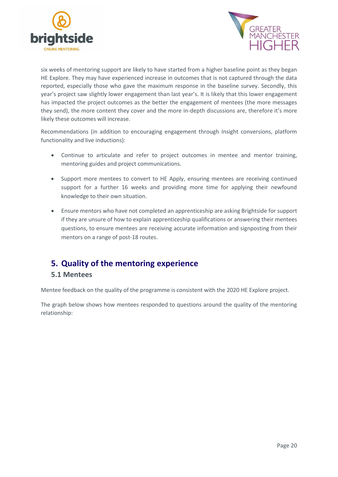



six weeks of mentoring support are likely to have started from a higher baseline point as they began HE Explore. They may have experienced increase in outcomes that is not captured through the data reported, especially those who gave the maximum response in the baseline survey. Secondly, this year's project saw slightly lower engagement than last year's. It is likely that this lower engagement has impacted the project outcomes as the better the engagement of mentees (the more messages they send), the more content they cover and the more in-depth discussions are, therefore it's more likely these outcomes will increase.

Recommendations (in addition to encouraging engagement through Insight conversions, platform functionality and live inductions):

- Continue to articulate and refer to project outcomes in mentee and mentor training, mentoring guides and project communications.
- Support more mentees to convert to HE Apply, ensuring mentees are receiving continued support for a further 16 weeks and providing more time for applying their newfound knowledge to their own situation.
- Ensure mentors who have not completed an apprenticeship are asking Brightside for support if they are unsure of how to explain apprenticeship qualifications or answering their mentees questions, to ensure mentees are receiving accurate information and signposting from their mentors on a range of post-18 routes.

## <span id="page-19-0"></span>**5. Quality of the mentoring experience**

### <span id="page-19-1"></span>**5.1 Mentees**

Mentee feedback on the quality of the programme is consistent with the 2020 HE Explore project.

The graph below shows how mentees responded to questions around the quality of the mentoring relationship: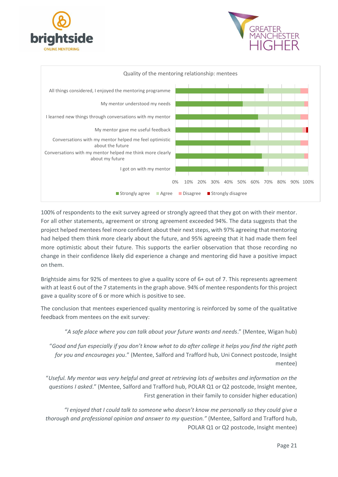





100% of respondents to the exit survey agreed or strongly agreed that they got on with their mentor. For all other statements, agreement or strong agreement exceeded 94%. The data suggests that the project helped mentees feel more confident about their next steps, with 97% agreeing that mentoring had helped them think more clearly about the future, and 95% agreeing that it had made them feel more optimistic about their future. This supports the earlier observation that those recording no change in their confidence likely did experience a change and mentoring did have a positive impact on them.

Brightside aims for 92% of mentees to give a quality score of 6+ out of 7. This represents agreement with at least 6 out of the 7 statements in the graph above. 94% of mentee respondents for this project gave a quality score of 6 or more which is positive to see.

The conclusion that mentees experienced quality mentoring is reinforced by some of the qualitative feedback from mentees on the exit survey:

"*A safe place where you can talk about your future wants and needs*." (Mentee, Wigan hub)

"*Good and fun especially if you don't know what to do after college it helps you find the right path for you and encourages you*." (Mentee, Salford and Trafford hub, Uni Connect postcode, Insight mentee)

"*Useful. My mentor was very helpful and great at retrieving lots of websites and information on the questions I asked*." (Mentee, Salford and Trafford hub, POLAR Q1 or Q2 postcode, Insight mentee, First generation in their family to consider higher education)

*"I enjoyed that I could talk to someone who doesn't know me personally so they could give a thorough and professional opinion and answer to my question."* (Mentee, Salford and Trafford hub, POLAR Q1 or Q2 postcode, Insight mentee)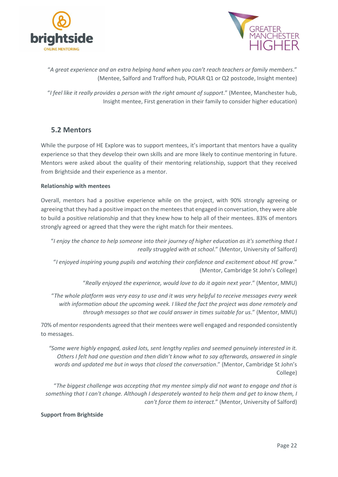



"*A great experience and an extra helping hand when you can't reach teachers or family members*." (Mentee, Salford and Trafford hub, POLAR Q1 or Q2 postcode, Insight mentee)

"*I feel like it really provides a person with the right amount of support*." (Mentee, Manchester hub, Insight mentee, First generation in their family to consider higher education)

## <span id="page-21-0"></span>**5.2 Mentors**

While the purpose of HE Explore was to support mentees, it's important that mentors have a quality experience so that they develop their own skills and are more likely to continue mentoring in future. Mentors were asked about the quality of their mentoring relationship, support that they received from Brightside and their experience as a mentor.

#### **Relationship with mentees**

Overall, mentors had a positive experience while on the project, with 90% strongly agreeing or agreeing that they had a positive impact on the mentees that engaged in conversation, they were able to build a positive relationship and that they knew how to help all of their mentees. 83% of mentors strongly agreed or agreed that they were the right match for their mentees.

"*I enjoy the chance to help someone into their journey of higher education as it's something that I really struggled with at school*." (Mentor, University of Salford)

"*I enjoyed inspiring young pupils and watching their confidence and excitement about HE grow*." (Mentor, Cambridge St John's College)

"*Really enjoyed the experience, would love to do it again next year*." (Mentor, MMU)

"*The whole platform was very easy to use and it was very helpful to receive messages every week with information about the upcoming week. I liked the fact the project was done remotely and through messages so that we could answer in times suitable for us*." (Mentor, MMU)

70% of mentor respondents agreed that their mentees were well engaged and responded consistently to messages.

*"Some were highly engaged, asked lots, sent lengthy replies and seemed genuinely interested in it. Others I felt had one question and then didn't know what to say afterwards, answered in single words and updated me but in ways that closed the conversation*." (Mentor, Cambridge St John's College)

"*The biggest challenge was accepting that my mentee simply did not want to engage and that is something that I can't change. Although I desperately wanted to help them and get to know them, I can't force them to interact*." (Mentor, University of Salford)

#### **Support from Brightside**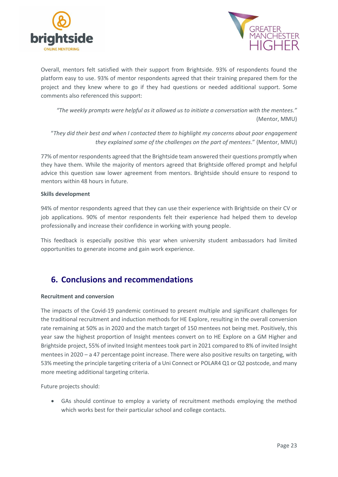



Overall, mentors felt satisfied with their support from Brightside. 93% of respondents found the platform easy to use. 93% of mentor respondents agreed that their training prepared them for the project and they knew where to go if they had questions or needed additional support. Some comments also referenced this support:

*"The weekly prompts were helpful as it allowed us to initiate a conversation with the mentees."* (Mentor, MMU)

"*They did their best and when I contacted them to highlight my concerns about poor engagement they explained some of the challenges on the part of mentees*." (Mentor, MMU)

77% of mentor respondents agreed that the Brightside team answered their questions promptly when they have them. While the majority of mentors agreed that Brightside offered prompt and helpful advice this question saw lower agreement from mentors. Brightside should ensure to respond to mentors within 48 hours in future.

#### **Skills development**

94% of mentor respondents agreed that they can use their experience with Brightside on their CV or job applications. 90% of mentor respondents felt their experience had helped them to develop professionally and increase their confidence in working with young people.

This feedback is especially positive this year when university student ambassadors had limited opportunities to generate income and gain work experience.

## <span id="page-22-0"></span>**6. Conclusions and recommendations**

#### **Recruitment and conversion**

The impacts of the Covid-19 pandemic continued to present multiple and significant challenges for the traditional recruitment and induction methods for HE Explore, resulting in the overall conversion rate remaining at 50% as in 2020 and the match target of 150 mentees not being met. Positively, this year saw the highest proportion of Insight mentees convert on to HE Explore on a GM Higher and Brightside project, 55% of invited Insight mentees took part in 2021 compared to 8% of invited Insight mentees in 2020 – a 47 percentage point increase. There were also positive results on targeting, with 53% meeting the principle targeting criteria of a Uni Connect or POLAR4 Q1 or Q2 postcode, and many more meeting additional targeting criteria.

Future projects should:

• GAs should continue to employ a variety of recruitment methods employing the method which works best for their particular school and college contacts.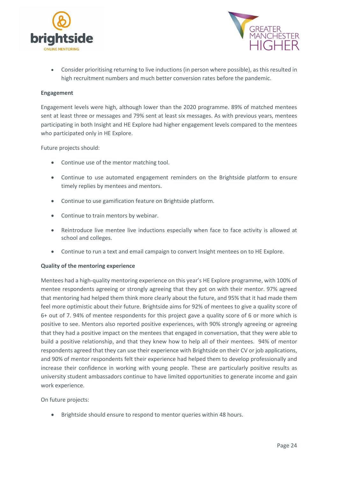



• Consider prioritising returning to live inductions (in person where possible), as this resulted in high recruitment numbers and much better conversion rates before the pandemic.

#### **Engagement**

Engagement levels were high, although lower than the 2020 programme. 89% of matched mentees sent at least three or messages and 79% sent at least six messages. As with previous years, mentees participating in both Insight and HE Explore had higher engagement levels compared to the mentees who participated only in HE Explore.

Future projects should:

- Continue use of the mentor matching tool.
- Continue to use automated engagement reminders on the Brightside platform to ensure timely replies by mentees and mentors.
- Continue to use gamification feature on Brightside platform.
- Continue to train mentors by webinar.
- Reintroduce live mentee live inductions especially when face to face activity is allowed at school and colleges.
- Continue to run a text and email campaign to convert Insight mentees on to HE Explore.

#### **Quality of the mentoring experience**

Mentees had a high-quality mentoring experience on this year's HE Explore programme, with 100% of mentee respondents agreeing or strongly agreeing that they got on with their mentor. 97% agreed that mentoring had helped them think more clearly about the future, and 95% that it had made them feel more optimistic about their future. Brightside aims for 92% of mentees to give a quality score of 6+ out of 7. 94% of mentee respondents for this project gave a quality score of 6 or more which is positive to see. Mentors also reported positive experiences, with 90% strongly agreeing or agreeing that they had a positive impact on the mentees that engaged in conversation, that they were able to build a positive relationship, and that they knew how to help all of their mentees. 94% of mentor respondents agreed that they can use their experience with Brightside on their CV or job applications, and 90% of mentor respondents felt their experience had helped them to develop professionally and increase their confidence in working with young people. These are particularly positive results as university student ambassadors continue to have limited opportunities to generate income and gain work experience.

On future projects:

• Brightside should ensure to respond to mentor queries within 48 hours.